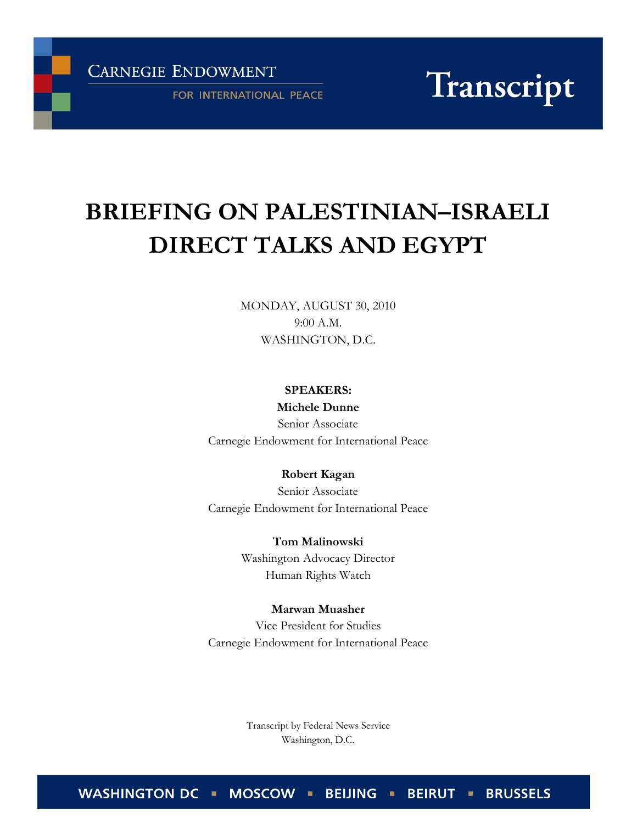**CARNEGIE ENDOWMENT** 

FOR INTERNATIONAL PEACE

Transcript

# BRIEFING ON PALESTINIAN–ISRAELI DIRECT TALKS AND EGYPT

MONDAY, AUGUST 30, 2010 9:00 A.M. WASHINGTON, D.C.

> SPEAKERS: Michele Dunne

Senior Associate Carnegie Endowment for International Peace

Robert Kagan Senior Associate Carnegie Endowment for International Peace

> Tom Malinowski Washington Advocacy Director Human Rights Watch

Marwan Muasher Vice President for Studies Carnegie Endowment for International Peace

> Transcript by Federal News Service Washington, D.C.

**WASHINGTON DC BEIRUT - BRUSSELS MOSCOW BEIJING**  $\blacksquare$ ٠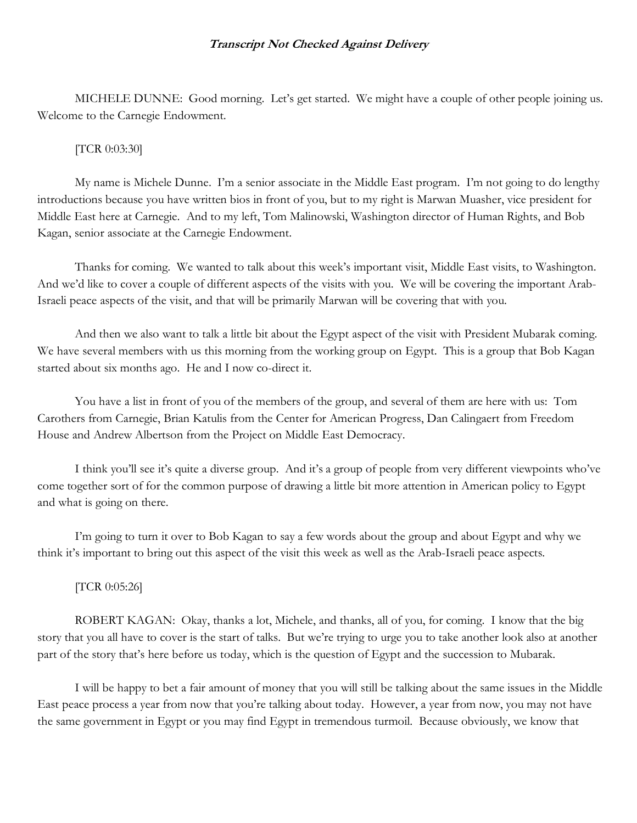MICHELE DUNNE: Good morning. Let's get started. We might have a couple of other people joining us. Welcome to the Carnegie Endowment.

# [TCR 0:03:30]

 My name is Michele Dunne. I'm a senior associate in the Middle East program. I'm not going to do lengthy introductions because you have written bios in front of you, but to my right is Marwan Muasher, vice president for Middle East here at Carnegie. And to my left, Tom Malinowski, Washington director of Human Rights, and Bob Kagan, senior associate at the Carnegie Endowment.

 Thanks for coming. We wanted to talk about this week's important visit, Middle East visits, to Washington. And we'd like to cover a couple of different aspects of the visits with you. We will be covering the important Arab-Israeli peace aspects of the visit, and that will be primarily Marwan will be covering that with you.

 And then we also want to talk a little bit about the Egypt aspect of the visit with President Mubarak coming. We have several members with us this morning from the working group on Egypt. This is a group that Bob Kagan started about six months ago. He and I now co-direct it.

 You have a list in front of you of the members of the group, and several of them are here with us: Tom Carothers from Carnegie, Brian Katulis from the Center for American Progress, Dan Calingaert from Freedom House and Andrew Albertson from the Project on Middle East Democracy.

 I think you'll see it's quite a diverse group. And it's a group of people from very different viewpoints who've come together sort of for the common purpose of drawing a little bit more attention in American policy to Egypt and what is going on there.

 I'm going to turn it over to Bob Kagan to say a few words about the group and about Egypt and why we think it's important to bring out this aspect of the visit this week as well as the Arab-Israeli peace aspects.

# [TCR 0:05:26]

 ROBERT KAGAN: Okay, thanks a lot, Michele, and thanks, all of you, for coming. I know that the big story that you all have to cover is the start of talks. But we're trying to urge you to take another look also at another part of the story that's here before us today, which is the question of Egypt and the succession to Mubarak.

 I will be happy to bet a fair amount of money that you will still be talking about the same issues in the Middle East peace process a year from now that you're talking about today. However, a year from now, you may not have the same government in Egypt or you may find Egypt in tremendous turmoil. Because obviously, we know that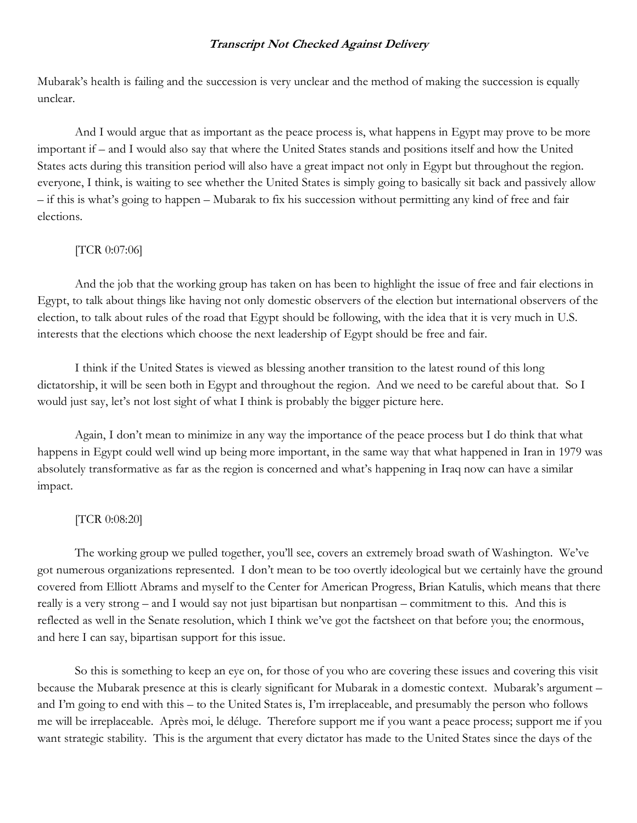Mubarak's health is failing and the succession is very unclear and the method of making the succession is equally unclear.

 And I would argue that as important as the peace process is, what happens in Egypt may prove to be more important if – and I would also say that where the United States stands and positions itself and how the United States acts during this transition period will also have a great impact not only in Egypt but throughout the region. everyone, I think, is waiting to see whether the United States is simply going to basically sit back and passively allow – if this is what's going to happen – Mubarak to fix his succession without permitting any kind of free and fair elections.

## [TCR 0:07:06]

 And the job that the working group has taken on has been to highlight the issue of free and fair elections in Egypt, to talk about things like having not only domestic observers of the election but international observers of the election, to talk about rules of the road that Egypt should be following, with the idea that it is very much in U.S. interests that the elections which choose the next leadership of Egypt should be free and fair.

 I think if the United States is viewed as blessing another transition to the latest round of this long dictatorship, it will be seen both in Egypt and throughout the region. And we need to be careful about that. So I would just say, let's not lost sight of what I think is probably the bigger picture here.

 Again, I don't mean to minimize in any way the importance of the peace process but I do think that what happens in Egypt could well wind up being more important, in the same way that what happened in Iran in 1979 was absolutely transformative as far as the region is concerned and what's happening in Iraq now can have a similar impact.

## [TCR 0:08:20]

 The working group we pulled together, you'll see, covers an extremely broad swath of Washington. We've got numerous organizations represented. I don't mean to be too overtly ideological but we certainly have the ground covered from Elliott Abrams and myself to the Center for American Progress, Brian Katulis, which means that there really is a very strong – and I would say not just bipartisan but nonpartisan – commitment to this. And this is reflected as well in the Senate resolution, which I think we've got the factsheet on that before you; the enormous, and here I can say, bipartisan support for this issue.

 So this is something to keep an eye on, for those of you who are covering these issues and covering this visit because the Mubarak presence at this is clearly significant for Mubarak in a domestic context. Mubarak's argument – and I'm going to end with this – to the United States is, I'm irreplaceable, and presumably the person who follows me will be irreplaceable. Après moi, le déluge. Therefore support me if you want a peace process; support me if you want strategic stability. This is the argument that every dictator has made to the United States since the days of the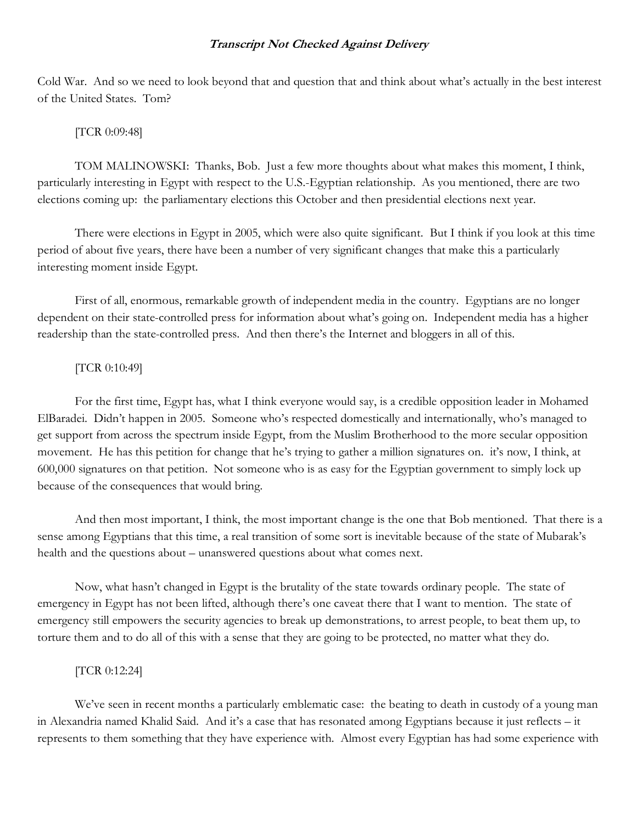Cold War. And so we need to look beyond that and question that and think about what's actually in the best interest of the United States. Tom?

#### [TCR 0:09:48]

 TOM MALINOWSKI: Thanks, Bob. Just a few more thoughts about what makes this moment, I think, particularly interesting in Egypt with respect to the U.S.-Egyptian relationship. As you mentioned, there are two elections coming up: the parliamentary elections this October and then presidential elections next year.

 There were elections in Egypt in 2005, which were also quite significant. But I think if you look at this time period of about five years, there have been a number of very significant changes that make this a particularly interesting moment inside Egypt.

 First of all, enormous, remarkable growth of independent media in the country. Egyptians are no longer dependent on their state-controlled press for information about what's going on. Independent media has a higher readership than the state-controlled press. And then there's the Internet and bloggers in all of this.

## [TCR 0:10:49]

 For the first time, Egypt has, what I think everyone would say, is a credible opposition leader in Mohamed ElBaradei. Didn't happen in 2005. Someone who's respected domestically and internationally, who's managed to get support from across the spectrum inside Egypt, from the Muslim Brotherhood to the more secular opposition movement. He has this petition for change that he's trying to gather a million signatures on. it's now, I think, at 600,000 signatures on that petition. Not someone who is as easy for the Egyptian government to simply lock up because of the consequences that would bring.

 And then most important, I think, the most important change is the one that Bob mentioned. That there is a sense among Egyptians that this time, a real transition of some sort is inevitable because of the state of Mubarak's health and the questions about – unanswered questions about what comes next.

 Now, what hasn't changed in Egypt is the brutality of the state towards ordinary people. The state of emergency in Egypt has not been lifted, although there's one caveat there that I want to mention. The state of emergency still empowers the security agencies to break up demonstrations, to arrest people, to beat them up, to torture them and to do all of this with a sense that they are going to be protected, no matter what they do.

#### [TCR 0:12:24]

We've seen in recent months a particularly emblematic case: the beating to death in custody of a young man in Alexandria named Khalid Said. And it's a case that has resonated among Egyptians because it just reflects – it represents to them something that they have experience with. Almost every Egyptian has had some experience with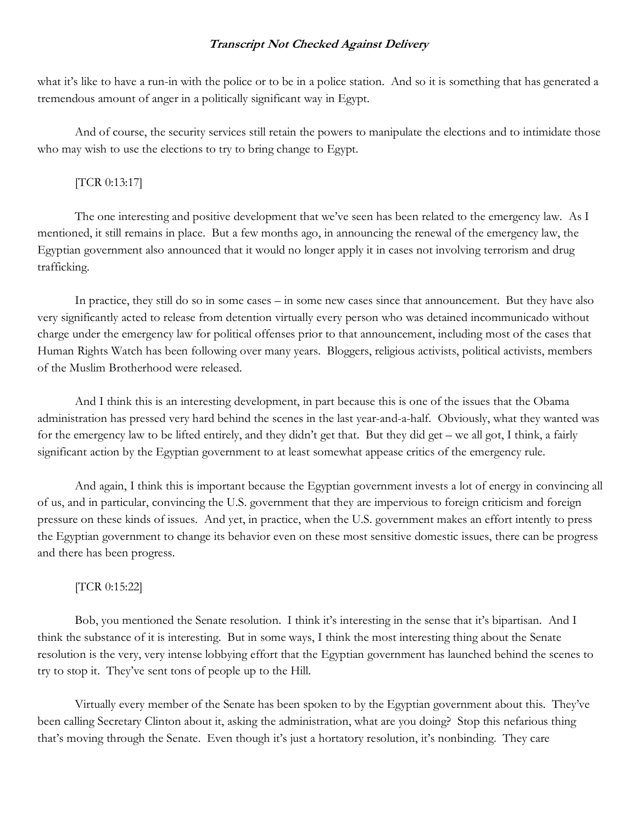what it's like to have a run-in with the police or to be in a police station. And so it is something that has generated a tremendous amount of anger in a politically significant way in Egypt.

 And of course, the security services still retain the powers to manipulate the elections and to intimidate those who may wish to use the elections to try to bring change to Egypt.

# [TCR 0:13:17]

 The one interesting and positive development that we've seen has been related to the emergency law. As I mentioned, it still remains in place. But a few months ago, in announcing the renewal of the emergency law, the Egyptian government also announced that it would no longer apply it in cases not involving terrorism and drug trafficking.

 In practice, they still do so in some cases – in some new cases since that announcement. But they have also very significantly acted to release from detention virtually every person who was detained incommunicado without charge under the emergency law for political offenses prior to that announcement, including most of the cases that Human Rights Watch has been following over many years. Bloggers, religious activists, political activists, members of the Muslim Brotherhood were released.

 And I think this is an interesting development, in part because this is one of the issues that the Obama administration has pressed very hard behind the scenes in the last year-and-a-half. Obviously, what they wanted was for the emergency law to be lifted entirely, and they didn't get that. But they did get – we all got, I think, a fairly significant action by the Egyptian government to at least somewhat appease critics of the emergency rule.

 And again, I think this is important because the Egyptian government invests a lot of energy in convincing all of us, and in particular, convincing the U.S. government that they are impervious to foreign criticism and foreign pressure on these kinds of issues. And yet, in practice, when the U.S. government makes an effort intently to press the Egyptian government to change its behavior even on these most sensitive domestic issues, there can be progress and there has been progress.

#### [TCR 0:15:22]

 Bob, you mentioned the Senate resolution. I think it's interesting in the sense that it's bipartisan. And I think the substance of it is interesting. But in some ways, I think the most interesting thing about the Senate resolution is the very, very intense lobbying effort that the Egyptian government has launched behind the scenes to try to stop it. They've sent tons of people up to the Hill.

 Virtually every member of the Senate has been spoken to by the Egyptian government about this. They've been calling Secretary Clinton about it, asking the administration, what are you doing? Stop this nefarious thing that's moving through the Senate. Even though it's just a hortatory resolution, it's nonbinding. They care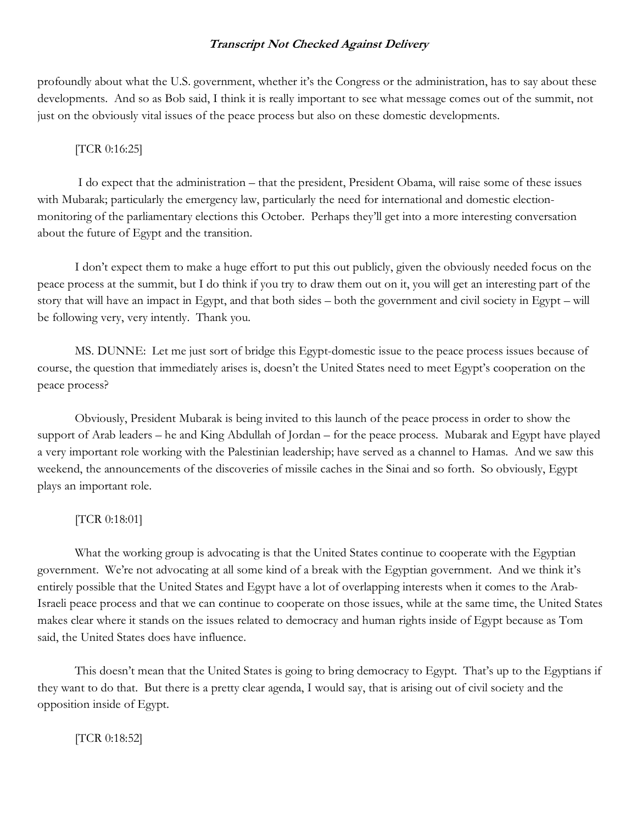profoundly about what the U.S. government, whether it's the Congress or the administration, has to say about these developments. And so as Bob said, I think it is really important to see what message comes out of the summit, not just on the obviously vital issues of the peace process but also on these domestic developments.

# [TCR 0:16:25]

 I do expect that the administration – that the president, President Obama, will raise some of these issues with Mubarak; particularly the emergency law, particularly the need for international and domestic electionmonitoring of the parliamentary elections this October. Perhaps they'll get into a more interesting conversation about the future of Egypt and the transition.

 I don't expect them to make a huge effort to put this out publicly, given the obviously needed focus on the peace process at the summit, but I do think if you try to draw them out on it, you will get an interesting part of the story that will have an impact in Egypt, and that both sides – both the government and civil society in Egypt – will be following very, very intently. Thank you.

 MS. DUNNE: Let me just sort of bridge this Egypt-domestic issue to the peace process issues because of course, the question that immediately arises is, doesn't the United States need to meet Egypt's cooperation on the peace process?

 Obviously, President Mubarak is being invited to this launch of the peace process in order to show the support of Arab leaders – he and King Abdullah of Jordan – for the peace process. Mubarak and Egypt have played a very important role working with the Palestinian leadership; have served as a channel to Hamas. And we saw this weekend, the announcements of the discoveries of missile caches in the Sinai and so forth. So obviously, Egypt plays an important role.

# [TCR 0:18:01]

 What the working group is advocating is that the United States continue to cooperate with the Egyptian government. We're not advocating at all some kind of a break with the Egyptian government. And we think it's entirely possible that the United States and Egypt have a lot of overlapping interests when it comes to the Arab-Israeli peace process and that we can continue to cooperate on those issues, while at the same time, the United States makes clear where it stands on the issues related to democracy and human rights inside of Egypt because as Tom said, the United States does have influence.

 This doesn't mean that the United States is going to bring democracy to Egypt. That's up to the Egyptians if they want to do that. But there is a pretty clear agenda, I would say, that is arising out of civil society and the opposition inside of Egypt.

[TCR 0:18:52]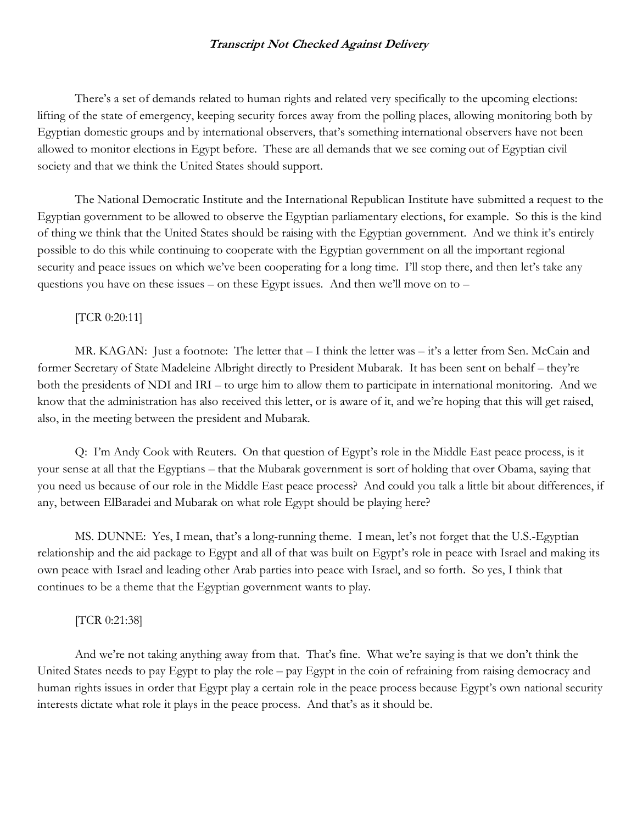There's a set of demands related to human rights and related very specifically to the upcoming elections: lifting of the state of emergency, keeping security forces away from the polling places, allowing monitoring both by Egyptian domestic groups and by international observers, that's something international observers have not been allowed to monitor elections in Egypt before. These are all demands that we see coming out of Egyptian civil society and that we think the United States should support.

 The National Democratic Institute and the International Republican Institute have submitted a request to the Egyptian government to be allowed to observe the Egyptian parliamentary elections, for example. So this is the kind of thing we think that the United States should be raising with the Egyptian government. And we think it's entirely possible to do this while continuing to cooperate with the Egyptian government on all the important regional security and peace issues on which we've been cooperating for a long time. I'll stop there, and then let's take any questions you have on these issues – on these Egypt issues. And then we'll move on to –

## [TCR 0:20:11]

MR. KAGAN: Just a footnote: The letter that – I think the letter was – it's a letter from Sen. McCain and former Secretary of State Madeleine Albright directly to President Mubarak. It has been sent on behalf – they're both the presidents of NDI and IRI – to urge him to allow them to participate in international monitoring. And we know that the administration has also received this letter, or is aware of it, and we're hoping that this will get raised, also, in the meeting between the president and Mubarak.

Q: I'm Andy Cook with Reuters. On that question of Egypt's role in the Middle East peace process, is it your sense at all that the Egyptians – that the Mubarak government is sort of holding that over Obama, saying that you need us because of our role in the Middle East peace process? And could you talk a little bit about differences, if any, between ElBaradei and Mubarak on what role Egypt should be playing here?

MS. DUNNE: Yes, I mean, that's a long-running theme. I mean, let's not forget that the U.S.-Egyptian relationship and the aid package to Egypt and all of that was built on Egypt's role in peace with Israel and making its own peace with Israel and leading other Arab parties into peace with Israel, and so forth. So yes, I think that continues to be a theme that the Egyptian government wants to play.

# [TCR 0:21:38]

And we're not taking anything away from that. That's fine. What we're saying is that we don't think the United States needs to pay Egypt to play the role – pay Egypt in the coin of refraining from raising democracy and human rights issues in order that Egypt play a certain role in the peace process because Egypt's own national security interests dictate what role it plays in the peace process. And that's as it should be.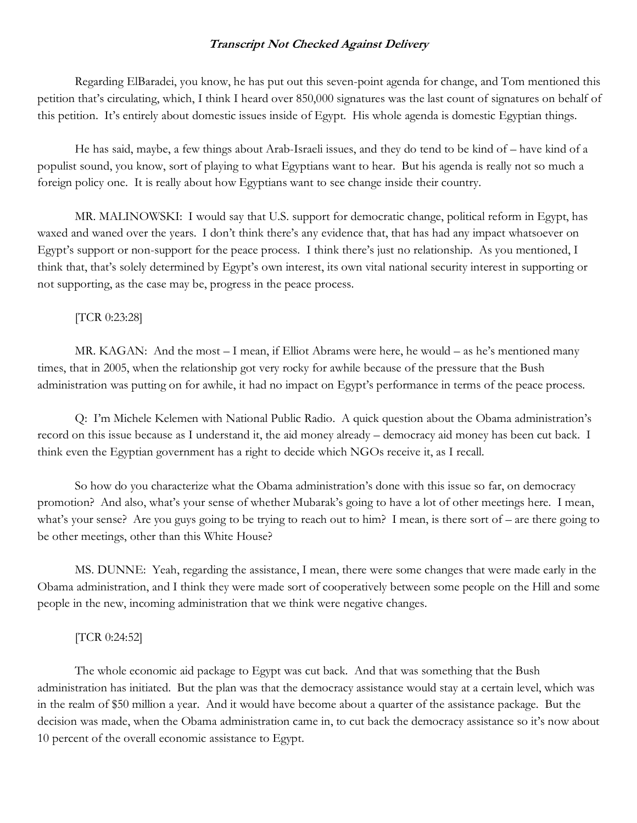Regarding ElBaradei, you know, he has put out this seven-point agenda for change, and Tom mentioned this petition that's circulating, which, I think I heard over 850,000 signatures was the last count of signatures on behalf of this petition. It's entirely about domestic issues inside of Egypt. His whole agenda is domestic Egyptian things.

He has said, maybe, a few things about Arab-Israeli issues, and they do tend to be kind of – have kind of a populist sound, you know, sort of playing to what Egyptians want to hear. But his agenda is really not so much a foreign policy one. It is really about how Egyptians want to see change inside their country.

MR. MALINOWSKI: I would say that U.S. support for democratic change, political reform in Egypt, has waxed and waned over the years. I don't think there's any evidence that, that has had any impact whatsoever on Egypt's support or non-support for the peace process. I think there's just no relationship. As you mentioned, I think that, that's solely determined by Egypt's own interest, its own vital national security interest in supporting or not supporting, as the case may be, progress in the peace process.

#### [TCR 0:23:28]

MR. KAGAN: And the most – I mean, if Elliot Abrams were here, he would – as he's mentioned many times, that in 2005, when the relationship got very rocky for awhile because of the pressure that the Bush administration was putting on for awhile, it had no impact on Egypt's performance in terms of the peace process.

Q: I'm Michele Kelemen with National Public Radio. A quick question about the Obama administration's record on this issue because as I understand it, the aid money already – democracy aid money has been cut back. I think even the Egyptian government has a right to decide which NGOs receive it, as I recall.

So how do you characterize what the Obama administration's done with this issue so far, on democracy promotion? And also, what's your sense of whether Mubarak's going to have a lot of other meetings here. I mean, what's your sense? Are you guys going to be trying to reach out to him? I mean, is there sort of – are there going to be other meetings, other than this White House?

MS. DUNNE: Yeah, regarding the assistance, I mean, there were some changes that were made early in the Obama administration, and I think they were made sort of cooperatively between some people on the Hill and some people in the new, incoming administration that we think were negative changes.

# [TCR 0:24:52]

The whole economic aid package to Egypt was cut back. And that was something that the Bush administration has initiated. But the plan was that the democracy assistance would stay at a certain level, which was in the realm of \$50 million a year. And it would have become about a quarter of the assistance package. But the decision was made, when the Obama administration came in, to cut back the democracy assistance so it's now about 10 percent of the overall economic assistance to Egypt.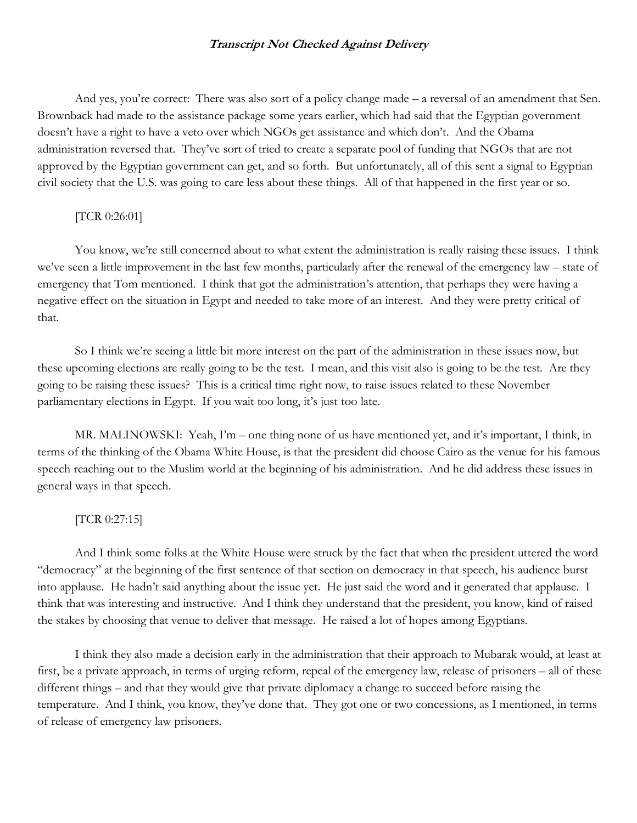And yes, you're correct: There was also sort of a policy change made – a reversal of an amendment that Sen. Brownback had made to the assistance package some years earlier, which had said that the Egyptian government doesn't have a right to have a veto over which NGOs get assistance and which don't. And the Obama administration reversed that. They've sort of tried to create a separate pool of funding that NGOs that are not approved by the Egyptian government can get, and so forth. But unfortunately, all of this sent a signal to Egyptian civil society that the U.S. was going to care less about these things. All of that happened in the first year or so.

## [TCR 0:26:01]

You know, we're still concerned about to what extent the administration is really raising these issues. I think we've seen a little improvement in the last few months, particularly after the renewal of the emergency law – state of emergency that Tom mentioned. I think that got the administration's attention, that perhaps they were having a negative effect on the situation in Egypt and needed to take more of an interest. And they were pretty critical of that.

So I think we're seeing a little bit more interest on the part of the administration in these issues now, but these upcoming elections are really going to be the test. I mean, and this visit also is going to be the test. Are they going to be raising these issues? This is a critical time right now, to raise issues related to these November parliamentary elections in Egypt. If you wait too long, it's just too late.

MR. MALINOWSKI: Yeah, I'm – one thing none of us have mentioned yet, and it's important, I think, in terms of the thinking of the Obama White House, is that the president did choose Cairo as the venue for his famous speech reaching out to the Muslim world at the beginning of his administration. And he did address these issues in general ways in that speech.

#### [TCR 0:27:15]

And I think some folks at the White House were struck by the fact that when the president uttered the word "democracy" at the beginning of the first sentence of that section on democracy in that speech, his audience burst into applause. He hadn't said anything about the issue yet. He just said the word and it generated that applause. I think that was interesting and instructive. And I think they understand that the president, you know, kind of raised the stakes by choosing that venue to deliver that message. He raised a lot of hopes among Egyptians.

I think they also made a decision early in the administration that their approach to Mubarak would, at least at first, be a private approach, in terms of urging reform, repeal of the emergency law, release of prisoners – all of these different things – and that they would give that private diplomacy a change to succeed before raising the temperature. And I think, you know, they've done that. They got one or two concessions, as I mentioned, in terms of release of emergency law prisoners.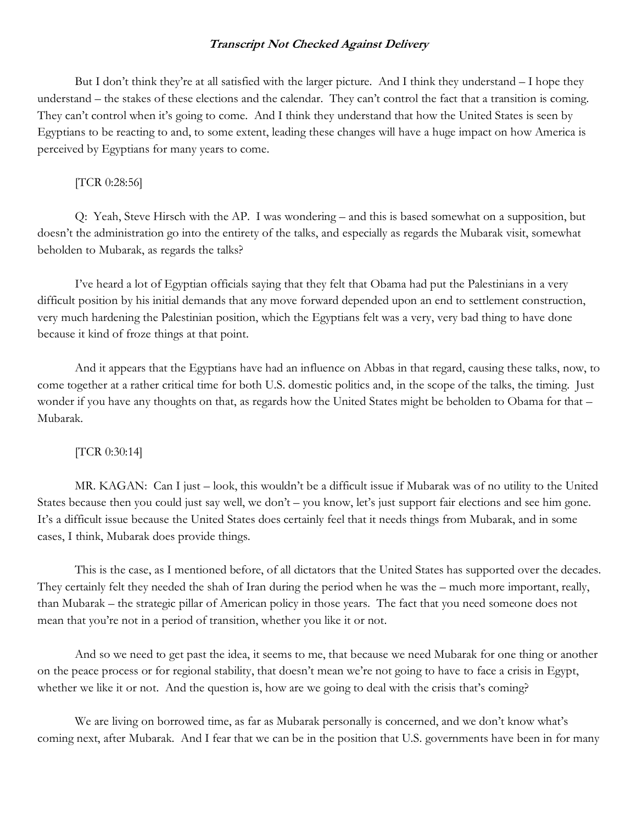But I don't think they're at all satisfied with the larger picture. And I think they understand – I hope they understand – the stakes of these elections and the calendar. They can't control the fact that a transition is coming. They can't control when it's going to come. And I think they understand that how the United States is seen by Egyptians to be reacting to and, to some extent, leading these changes will have a huge impact on how America is perceived by Egyptians for many years to come.

#### [TCR 0:28:56]

Q: Yeah, Steve Hirsch with the AP. I was wondering – and this is based somewhat on a supposition, but doesn't the administration go into the entirety of the talks, and especially as regards the Mubarak visit, somewhat beholden to Mubarak, as regards the talks?

I've heard a lot of Egyptian officials saying that they felt that Obama had put the Palestinians in a very difficult position by his initial demands that any move forward depended upon an end to settlement construction, very much hardening the Palestinian position, which the Egyptians felt was a very, very bad thing to have done because it kind of froze things at that point.

And it appears that the Egyptians have had an influence on Abbas in that regard, causing these talks, now, to come together at a rather critical time for both U.S. domestic politics and, in the scope of the talks, the timing. Just wonder if you have any thoughts on that, as regards how the United States might be beholden to Obama for that – Mubarak.

#### [TCR 0:30:14]

MR. KAGAN: Can I just – look, this wouldn't be a difficult issue if Mubarak was of no utility to the United States because then you could just say well, we don't – you know, let's just support fair elections and see him gone. It's a difficult issue because the United States does certainly feel that it needs things from Mubarak, and in some cases, I think, Mubarak does provide things.

This is the case, as I mentioned before, of all dictators that the United States has supported over the decades. They certainly felt they needed the shah of Iran during the period when he was the – much more important, really, than Mubarak – the strategic pillar of American policy in those years. The fact that you need someone does not mean that you're not in a period of transition, whether you like it or not.

And so we need to get past the idea, it seems to me, that because we need Mubarak for one thing or another on the peace process or for regional stability, that doesn't mean we're not going to have to face a crisis in Egypt, whether we like it or not. And the question is, how are we going to deal with the crisis that's coming?

We are living on borrowed time, as far as Mubarak personally is concerned, and we don't know what's coming next, after Mubarak. And I fear that we can be in the position that U.S. governments have been in for many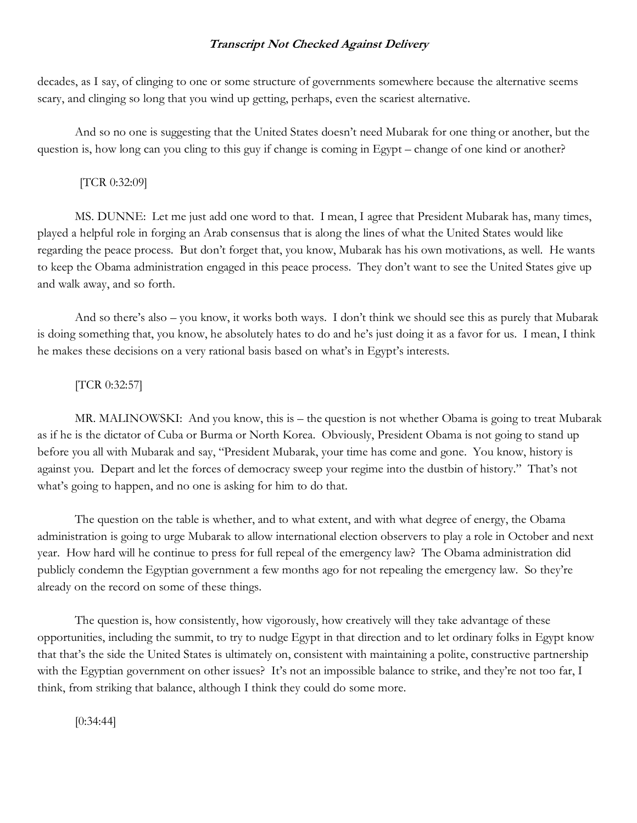decades, as I say, of clinging to one or some structure of governments somewhere because the alternative seems scary, and clinging so long that you wind up getting, perhaps, even the scariest alternative.

And so no one is suggesting that the United States doesn't need Mubarak for one thing or another, but the question is, how long can you cling to this guy if change is coming in Egypt – change of one kind or another?

# [TCR 0:32:09]

MS. DUNNE: Let me just add one word to that. I mean, I agree that President Mubarak has, many times, played a helpful role in forging an Arab consensus that is along the lines of what the United States would like regarding the peace process. But don't forget that, you know, Mubarak has his own motivations, as well. He wants to keep the Obama administration engaged in this peace process. They don't want to see the United States give up and walk away, and so forth.

And so there's also – you know, it works both ways. I don't think we should see this as purely that Mubarak is doing something that, you know, he absolutely hates to do and he's just doing it as a favor for us. I mean, I think he makes these decisions on a very rational basis based on what's in Egypt's interests.

## [TCR 0:32:57]

MR. MALINOWSKI: And you know, this is – the question is not whether Obama is going to treat Mubarak as if he is the dictator of Cuba or Burma or North Korea. Obviously, President Obama is not going to stand up before you all with Mubarak and say, "President Mubarak, your time has come and gone. You know, history is against you. Depart and let the forces of democracy sweep your regime into the dustbin of history." That's not what's going to happen, and no one is asking for him to do that.

The question on the table is whether, and to what extent, and with what degree of energy, the Obama administration is going to urge Mubarak to allow international election observers to play a role in October and next year. How hard will he continue to press for full repeal of the emergency law? The Obama administration did publicly condemn the Egyptian government a few months ago for not repealing the emergency law. So they're already on the record on some of these things.

The question is, how consistently, how vigorously, how creatively will they take advantage of these opportunities, including the summit, to try to nudge Egypt in that direction and to let ordinary folks in Egypt know that that's the side the United States is ultimately on, consistent with maintaining a polite, constructive partnership with the Egyptian government on other issues? It's not an impossible balance to strike, and they're not too far, I think, from striking that balance, although I think they could do some more.

[0:34:44]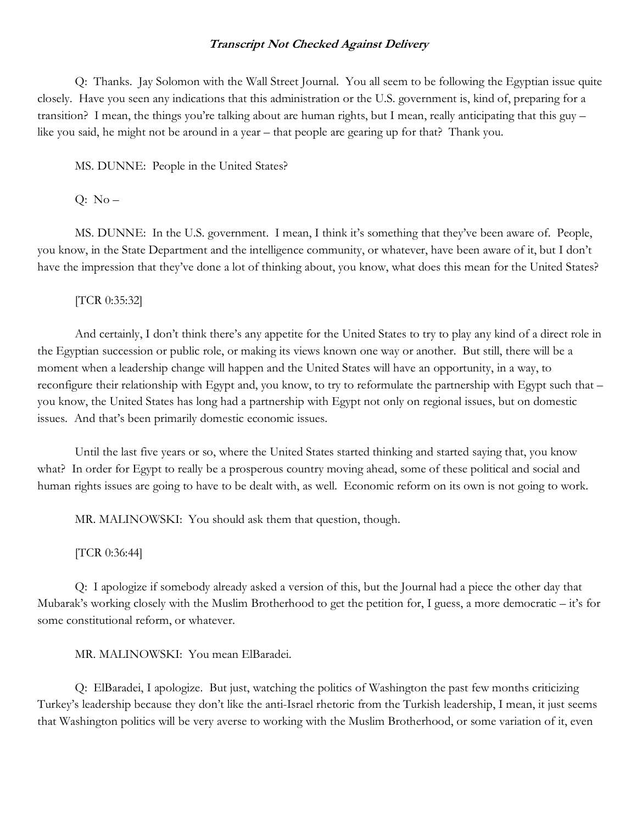Q: Thanks. Jay Solomon with the Wall Street Journal. You all seem to be following the Egyptian issue quite closely. Have you seen any indications that this administration or the U.S. government is, kind of, preparing for a transition? I mean, the things you're talking about are human rights, but I mean, really anticipating that this guy – like you said, he might not be around in a year – that people are gearing up for that? Thank you.

MS. DUNNE: People in the United States?

 $Q: No -$ 

MS. DUNNE: In the U.S. government. I mean, I think it's something that they've been aware of. People, you know, in the State Department and the intelligence community, or whatever, have been aware of it, but I don't have the impression that they've done a lot of thinking about, you know, what does this mean for the United States?

[TCR 0:35:32]

And certainly, I don't think there's any appetite for the United States to try to play any kind of a direct role in the Egyptian succession or public role, or making its views known one way or another. But still, there will be a moment when a leadership change will happen and the United States will have an opportunity, in a way, to reconfigure their relationship with Egypt and, you know, to try to reformulate the partnership with Egypt such that – you know, the United States has long had a partnership with Egypt not only on regional issues, but on domestic issues. And that's been primarily domestic economic issues.

Until the last five years or so, where the United States started thinking and started saying that, you know what? In order for Egypt to really be a prosperous country moving ahead, some of these political and social and human rights issues are going to have to be dealt with, as well. Economic reform on its own is not going to work.

MR. MALINOWSKI: You should ask them that question, though.

[TCR 0:36:44]

Q: I apologize if somebody already asked a version of this, but the Journal had a piece the other day that Mubarak's working closely with the Muslim Brotherhood to get the petition for, I guess, a more democratic – it's for some constitutional reform, or whatever.

MR. MALINOWSKI: You mean ElBaradei.

Q: ElBaradei, I apologize. But just, watching the politics of Washington the past few months criticizing Turkey's leadership because they don't like the anti-Israel rhetoric from the Turkish leadership, I mean, it just seems that Washington politics will be very averse to working with the Muslim Brotherhood, or some variation of it, even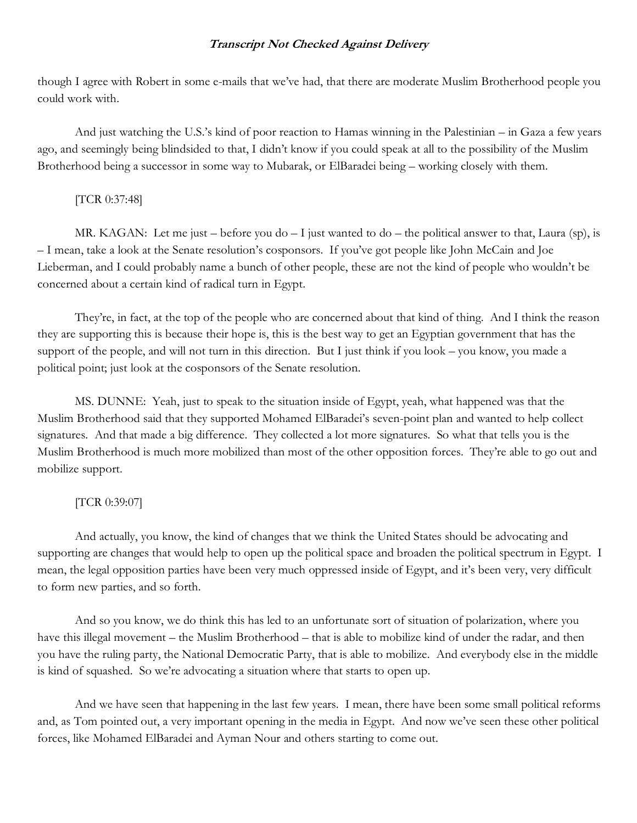though I agree with Robert in some e-mails that we've had, that there are moderate Muslim Brotherhood people you could work with.

And just watching the U.S.'s kind of poor reaction to Hamas winning in the Palestinian – in Gaza a few years ago, and seemingly being blindsided to that, I didn't know if you could speak at all to the possibility of the Muslim Brotherhood being a successor in some way to Mubarak, or ElBaradei being – working closely with them.

# [TCR 0:37:48]

MR. KAGAN: Let me just – before you do – I just wanted to do – the political answer to that, Laura (sp), is – I mean, take a look at the Senate resolution's cosponsors. If you've got people like John McCain and Joe Lieberman, and I could probably name a bunch of other people, these are not the kind of people who wouldn't be concerned about a certain kind of radical turn in Egypt.

They're, in fact, at the top of the people who are concerned about that kind of thing. And I think the reason they are supporting this is because their hope is, this is the best way to get an Egyptian government that has the support of the people, and will not turn in this direction. But I just think if you look – you know, you made a political point; just look at the cosponsors of the Senate resolution.

MS. DUNNE: Yeah, just to speak to the situation inside of Egypt, yeah, what happened was that the Muslim Brotherhood said that they supported Mohamed ElBaradei's seven-point plan and wanted to help collect signatures. And that made a big difference. They collected a lot more signatures. So what that tells you is the Muslim Brotherhood is much more mobilized than most of the other opposition forces. They're able to go out and mobilize support.

# [TCR 0:39:07]

And actually, you know, the kind of changes that we think the United States should be advocating and supporting are changes that would help to open up the political space and broaden the political spectrum in Egypt. I mean, the legal opposition parties have been very much oppressed inside of Egypt, and it's been very, very difficult to form new parties, and so forth.

And so you know, we do think this has led to an unfortunate sort of situation of polarization, where you have this illegal movement – the Muslim Brotherhood – that is able to mobilize kind of under the radar, and then you have the ruling party, the National Democratic Party, that is able to mobilize. And everybody else in the middle is kind of squashed. So we're advocating a situation where that starts to open up.

And we have seen that happening in the last few years. I mean, there have been some small political reforms and, as Tom pointed out, a very important opening in the media in Egypt. And now we've seen these other political forces, like Mohamed ElBaradei and Ayman Nour and others starting to come out.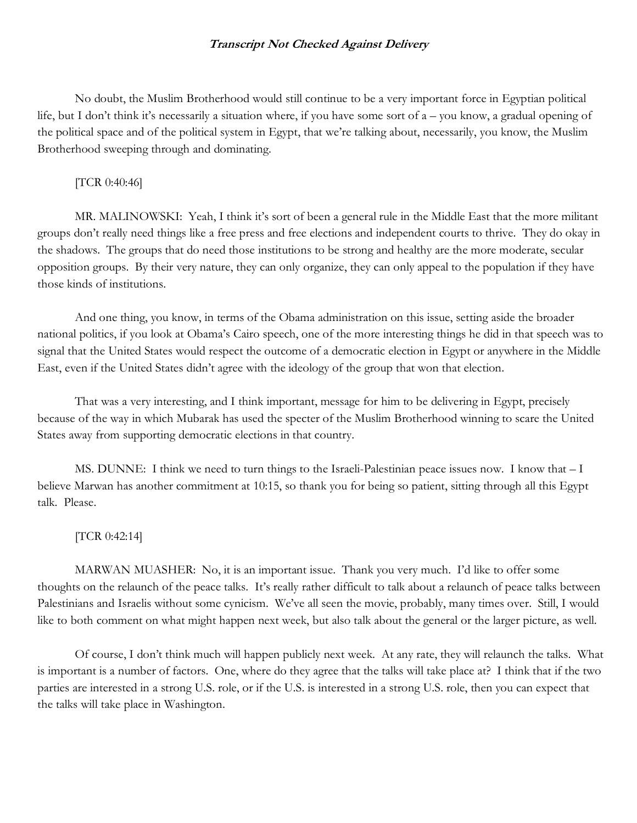No doubt, the Muslim Brotherhood would still continue to be a very important force in Egyptian political life, but I don't think it's necessarily a situation where, if you have some sort of a – you know, a gradual opening of the political space and of the political system in Egypt, that we're talking about, necessarily, you know, the Muslim Brotherhood sweeping through and dominating.

# [TCR 0:40:46]

MR. MALINOWSKI: Yeah, I think it's sort of been a general rule in the Middle East that the more militant groups don't really need things like a free press and free elections and independent courts to thrive. They do okay in the shadows. The groups that do need those institutions to be strong and healthy are the more moderate, secular opposition groups. By their very nature, they can only organize, they can only appeal to the population if they have those kinds of institutions.

And one thing, you know, in terms of the Obama administration on this issue, setting aside the broader national politics, if you look at Obama's Cairo speech, one of the more interesting things he did in that speech was to signal that the United States would respect the outcome of a democratic election in Egypt or anywhere in the Middle East, even if the United States didn't agree with the ideology of the group that won that election.

That was a very interesting, and I think important, message for him to be delivering in Egypt, precisely because of the way in which Mubarak has used the specter of the Muslim Brotherhood winning to scare the United States away from supporting democratic elections in that country.

MS. DUNNE: I think we need to turn things to the Israeli-Palestinian peace issues now. I know that – I believe Marwan has another commitment at 10:15, so thank you for being so patient, sitting through all this Egypt talk. Please.

#### [TCR 0:42:14]

MARWAN MUASHER: No, it is an important issue. Thank you very much. I'd like to offer some thoughts on the relaunch of the peace talks. It's really rather difficult to talk about a relaunch of peace talks between Palestinians and Israelis without some cynicism. We've all seen the movie, probably, many times over. Still, I would like to both comment on what might happen next week, but also talk about the general or the larger picture, as well.

Of course, I don't think much will happen publicly next week. At any rate, they will relaunch the talks. What is important is a number of factors. One, where do they agree that the talks will take place at? I think that if the two parties are interested in a strong U.S. role, or if the U.S. is interested in a strong U.S. role, then you can expect that the talks will take place in Washington.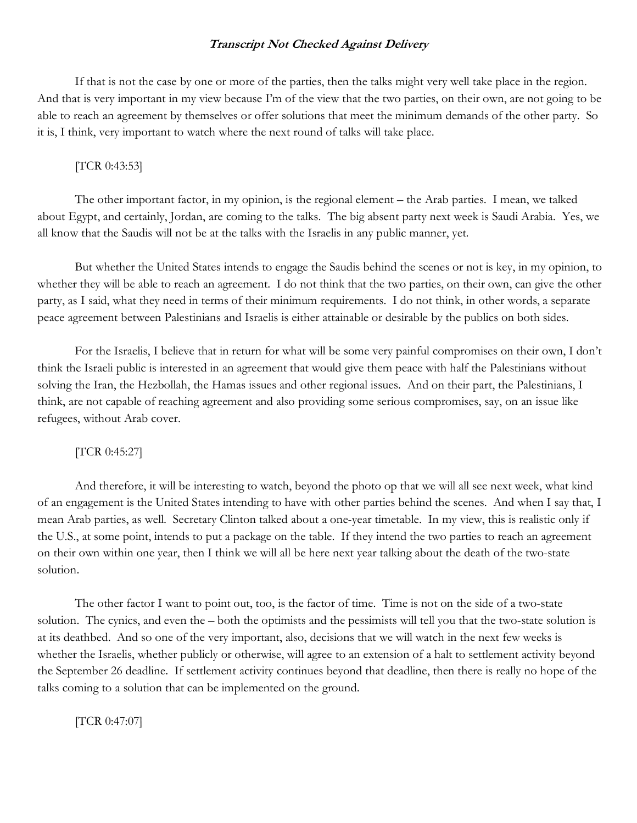If that is not the case by one or more of the parties, then the talks might very well take place in the region. And that is very important in my view because I'm of the view that the two parties, on their own, are not going to be able to reach an agreement by themselves or offer solutions that meet the minimum demands of the other party. So it is, I think, very important to watch where the next round of talks will take place.

# [TCR 0:43:53]

The other important factor, in my opinion, is the regional element – the Arab parties. I mean, we talked about Egypt, and certainly, Jordan, are coming to the talks. The big absent party next week is Saudi Arabia. Yes, we all know that the Saudis will not be at the talks with the Israelis in any public manner, yet.

But whether the United States intends to engage the Saudis behind the scenes or not is key, in my opinion, to whether they will be able to reach an agreement. I do not think that the two parties, on their own, can give the other party, as I said, what they need in terms of their minimum requirements. I do not think, in other words, a separate peace agreement between Palestinians and Israelis is either attainable or desirable by the publics on both sides.

For the Israelis, I believe that in return for what will be some very painful compromises on their own, I don't think the Israeli public is interested in an agreement that would give them peace with half the Palestinians without solving the Iran, the Hezbollah, the Hamas issues and other regional issues. And on their part, the Palestinians, I think, are not capable of reaching agreement and also providing some serious compromises, say, on an issue like refugees, without Arab cover.

# [TCR 0:45:27]

And therefore, it will be interesting to watch, beyond the photo op that we will all see next week, what kind of an engagement is the United States intending to have with other parties behind the scenes. And when I say that, I mean Arab parties, as well. Secretary Clinton talked about a one-year timetable. In my view, this is realistic only if the U.S., at some point, intends to put a package on the table. If they intend the two parties to reach an agreement on their own within one year, then I think we will all be here next year talking about the death of the two-state solution.

The other factor I want to point out, too, is the factor of time. Time is not on the side of a two-state solution. The cynics, and even the – both the optimists and the pessimists will tell you that the two-state solution is at its deathbed. And so one of the very important, also, decisions that we will watch in the next few weeks is whether the Israelis, whether publicly or otherwise, will agree to an extension of a halt to settlement activity beyond the September 26 deadline. If settlement activity continues beyond that deadline, then there is really no hope of the talks coming to a solution that can be implemented on the ground.

[TCR 0:47:07]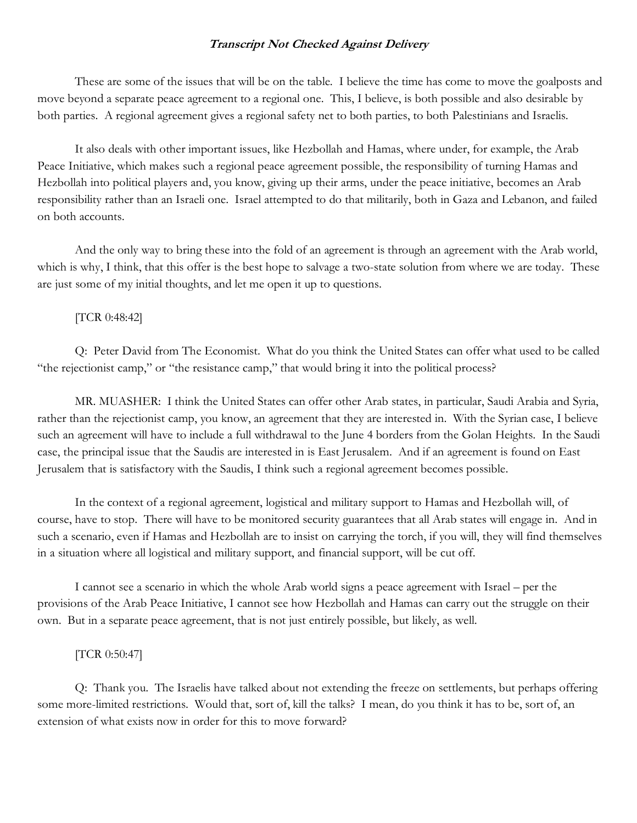These are some of the issues that will be on the table. I believe the time has come to move the goalposts and move beyond a separate peace agreement to a regional one. This, I believe, is both possible and also desirable by both parties. A regional agreement gives a regional safety net to both parties, to both Palestinians and Israelis.

It also deals with other important issues, like Hezbollah and Hamas, where under, for example, the Arab Peace Initiative, which makes such a regional peace agreement possible, the responsibility of turning Hamas and Hezbollah into political players and, you know, giving up their arms, under the peace initiative, becomes an Arab responsibility rather than an Israeli one. Israel attempted to do that militarily, both in Gaza and Lebanon, and failed on both accounts.

And the only way to bring these into the fold of an agreement is through an agreement with the Arab world, which is why, I think, that this offer is the best hope to salvage a two-state solution from where we are today. These are just some of my initial thoughts, and let me open it up to questions.

## [TCR 0:48:42]

Q: Peter David from The Economist. What do you think the United States can offer what used to be called "the rejectionist camp," or "the resistance camp," that would bring it into the political process?

MR. MUASHER: I think the United States can offer other Arab states, in particular, Saudi Arabia and Syria, rather than the rejectionist camp, you know, an agreement that they are interested in. With the Syrian case, I believe such an agreement will have to include a full withdrawal to the June 4 borders from the Golan Heights. In the Saudi case, the principal issue that the Saudis are interested in is East Jerusalem. And if an agreement is found on East Jerusalem that is satisfactory with the Saudis, I think such a regional agreement becomes possible.

In the context of a regional agreement, logistical and military support to Hamas and Hezbollah will, of course, have to stop. There will have to be monitored security guarantees that all Arab states will engage in. And in such a scenario, even if Hamas and Hezbollah are to insist on carrying the torch, if you will, they will find themselves in a situation where all logistical and military support, and financial support, will be cut off.

I cannot see a scenario in which the whole Arab world signs a peace agreement with Israel – per the provisions of the Arab Peace Initiative, I cannot see how Hezbollah and Hamas can carry out the struggle on their own. But in a separate peace agreement, that is not just entirely possible, but likely, as well.

#### [TCR 0:50:47]

Q: Thank you. The Israelis have talked about not extending the freeze on settlements, but perhaps offering some more-limited restrictions. Would that, sort of, kill the talks? I mean, do you think it has to be, sort of, an extension of what exists now in order for this to move forward?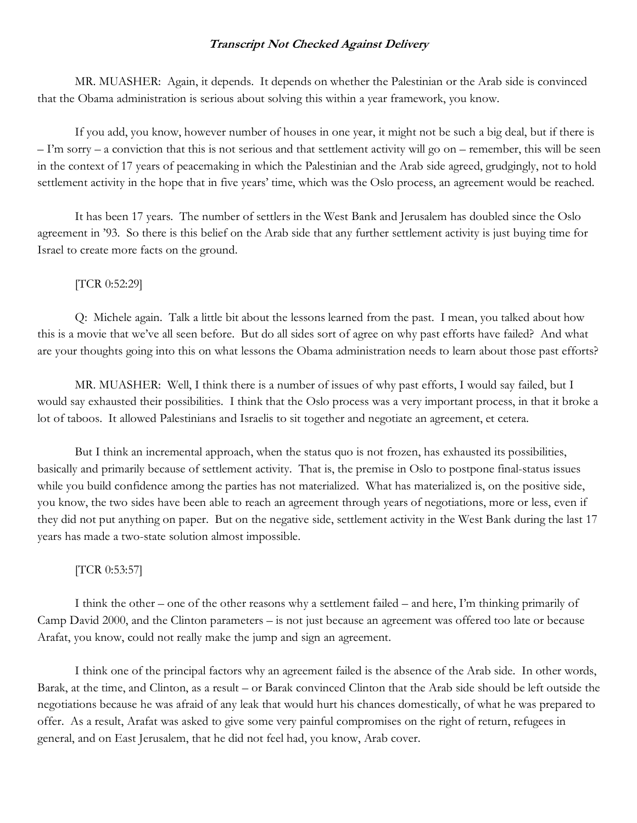MR. MUASHER: Again, it depends. It depends on whether the Palestinian or the Arab side is convinced that the Obama administration is serious about solving this within a year framework, you know.

If you add, you know, however number of houses in one year, it might not be such a big deal, but if there is – I'm sorry – a conviction that this is not serious and that settlement activity will go on – remember, this will be seen in the context of 17 years of peacemaking in which the Palestinian and the Arab side agreed, grudgingly, not to hold settlement activity in the hope that in five years' time, which was the Oslo process, an agreement would be reached.

It has been 17 years. The number of settlers in the West Bank and Jerusalem has doubled since the Oslo agreement in '93. So there is this belief on the Arab side that any further settlement activity is just buying time for Israel to create more facts on the ground.

#### [TCR 0:52:29]

Q: Michele again. Talk a little bit about the lessons learned from the past. I mean, you talked about how this is a movie that we've all seen before. But do all sides sort of agree on why past efforts have failed? And what are your thoughts going into this on what lessons the Obama administration needs to learn about those past efforts?

MR. MUASHER: Well, I think there is a number of issues of why past efforts, I would say failed, but I would say exhausted their possibilities. I think that the Oslo process was a very important process, in that it broke a lot of taboos. It allowed Palestinians and Israelis to sit together and negotiate an agreement, et cetera.

But I think an incremental approach, when the status quo is not frozen, has exhausted its possibilities, basically and primarily because of settlement activity. That is, the premise in Oslo to postpone final-status issues while you build confidence among the parties has not materialized. What has materialized is, on the positive side, you know, the two sides have been able to reach an agreement through years of negotiations, more or less, even if they did not put anything on paper. But on the negative side, settlement activity in the West Bank during the last 17 years has made a two-state solution almost impossible.

#### [TCR 0:53:57]

I think the other – one of the other reasons why a settlement failed – and here, I'm thinking primarily of Camp David 2000, and the Clinton parameters – is not just because an agreement was offered too late or because Arafat, you know, could not really make the jump and sign an agreement.

I think one of the principal factors why an agreement failed is the absence of the Arab side. In other words, Barak, at the time, and Clinton, as a result – or Barak convinced Clinton that the Arab side should be left outside the negotiations because he was afraid of any leak that would hurt his chances domestically, of what he was prepared to offer. As a result, Arafat was asked to give some very painful compromises on the right of return, refugees in general, and on East Jerusalem, that he did not feel had, you know, Arab cover.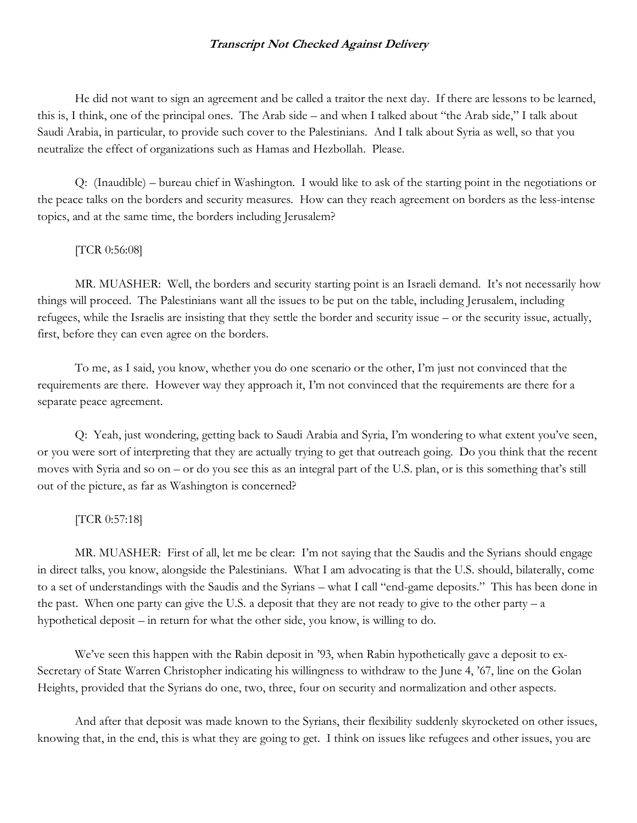He did not want to sign an agreement and be called a traitor the next day. If there are lessons to be learned, this is, I think, one of the principal ones. The Arab side – and when I talked about "the Arab side," I talk about Saudi Arabia, in particular, to provide such cover to the Palestinians. And I talk about Syria as well, so that you neutralize the effect of organizations such as Hamas and Hezbollah. Please.

Q: (Inaudible) – bureau chief in Washington. I would like to ask of the starting point in the negotiations or the peace talks on the borders and security measures. How can they reach agreement on borders as the less-intense topics, and at the same time, the borders including Jerusalem?

#### [TCR 0:56:08]

MR. MUASHER: Well, the borders and security starting point is an Israeli demand. It's not necessarily how things will proceed. The Palestinians want all the issues to be put on the table, including Jerusalem, including refugees, while the Israelis are insisting that they settle the border and security issue – or the security issue, actually, first, before they can even agree on the borders.

To me, as I said, you know, whether you do one scenario or the other, I'm just not convinced that the requirements are there. However way they approach it, I'm not convinced that the requirements are there for a separate peace agreement.

Q: Yeah, just wondering, getting back to Saudi Arabia and Syria, I'm wondering to what extent you've seen, or you were sort of interpreting that they are actually trying to get that outreach going. Do you think that the recent moves with Syria and so on – or do you see this as an integral part of the U.S. plan, or is this something that's still out of the picture, as far as Washington is concerned?

#### [TCR 0:57:18]

MR. MUASHER: First of all, let me be clear: I'm not saying that the Saudis and the Syrians should engage in direct talks, you know, alongside the Palestinians. What I am advocating is that the U.S. should, bilaterally, come to a set of understandings with the Saudis and the Syrians – what I call "end-game deposits." This has been done in the past. When one party can give the U.S. a deposit that they are not ready to give to the other party  $-a$ hypothetical deposit – in return for what the other side, you know, is willing to do.

We've seen this happen with the Rabin deposit in '93, when Rabin hypothetically gave a deposit to ex-Secretary of State Warren Christopher indicating his willingness to withdraw to the June 4, '67, line on the Golan Heights, provided that the Syrians do one, two, three, four on security and normalization and other aspects.

And after that deposit was made known to the Syrians, their flexibility suddenly skyrocketed on other issues, knowing that, in the end, this is what they are going to get. I think on issues like refugees and other issues, you are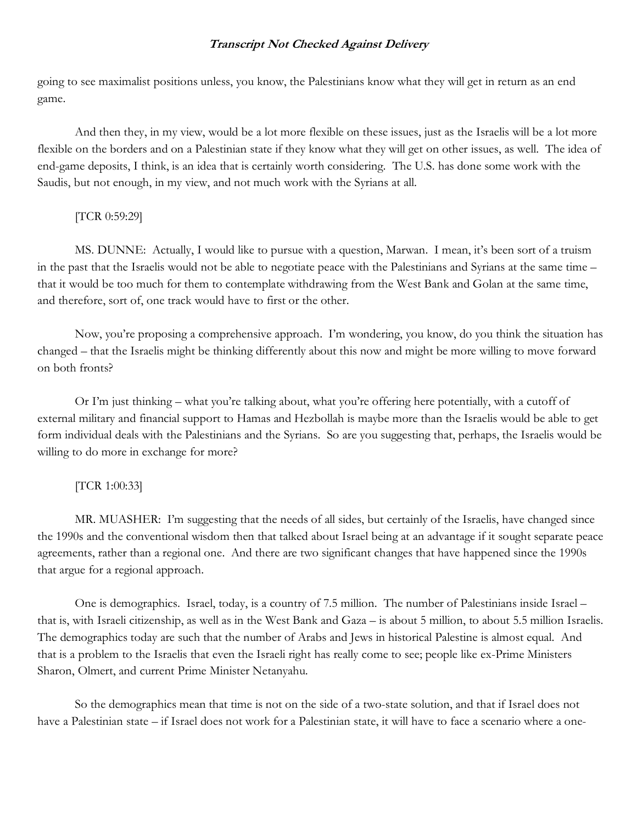going to see maximalist positions unless, you know, the Palestinians know what they will get in return as an end game.

And then they, in my view, would be a lot more flexible on these issues, just as the Israelis will be a lot more flexible on the borders and on a Palestinian state if they know what they will get on other issues, as well. The idea of end-game deposits, I think, is an idea that is certainly worth considering. The U.S. has done some work with the Saudis, but not enough, in my view, and not much work with the Syrians at all.

## [TCR 0:59:29]

MS. DUNNE: Actually, I would like to pursue with a question, Marwan. I mean, it's been sort of a truism in the past that the Israelis would not be able to negotiate peace with the Palestinians and Syrians at the same time – that it would be too much for them to contemplate withdrawing from the West Bank and Golan at the same time, and therefore, sort of, one track would have to first or the other.

Now, you're proposing a comprehensive approach. I'm wondering, you know, do you think the situation has changed – that the Israelis might be thinking differently about this now and might be more willing to move forward on both fronts?

Or I'm just thinking – what you're talking about, what you're offering here potentially, with a cutoff of external military and financial support to Hamas and Hezbollah is maybe more than the Israelis would be able to get form individual deals with the Palestinians and the Syrians. So are you suggesting that, perhaps, the Israelis would be willing to do more in exchange for more?

# [TCR 1:00:33]

MR. MUASHER: I'm suggesting that the needs of all sides, but certainly of the Israelis, have changed since the 1990s and the conventional wisdom then that talked about Israel being at an advantage if it sought separate peace agreements, rather than a regional one. And there are two significant changes that have happened since the 1990s that argue for a regional approach.

One is demographics. Israel, today, is a country of 7.5 million. The number of Palestinians inside Israel – that is, with Israeli citizenship, as well as in the West Bank and Gaza – is about 5 million, to about 5.5 million Israelis. The demographics today are such that the number of Arabs and Jews in historical Palestine is almost equal. And that is a problem to the Israelis that even the Israeli right has really come to see; people like ex-Prime Ministers Sharon, Olmert, and current Prime Minister Netanyahu.

So the demographics mean that time is not on the side of a two-state solution, and that if Israel does not have a Palestinian state – if Israel does not work for a Palestinian state, it will have to face a scenario where a one-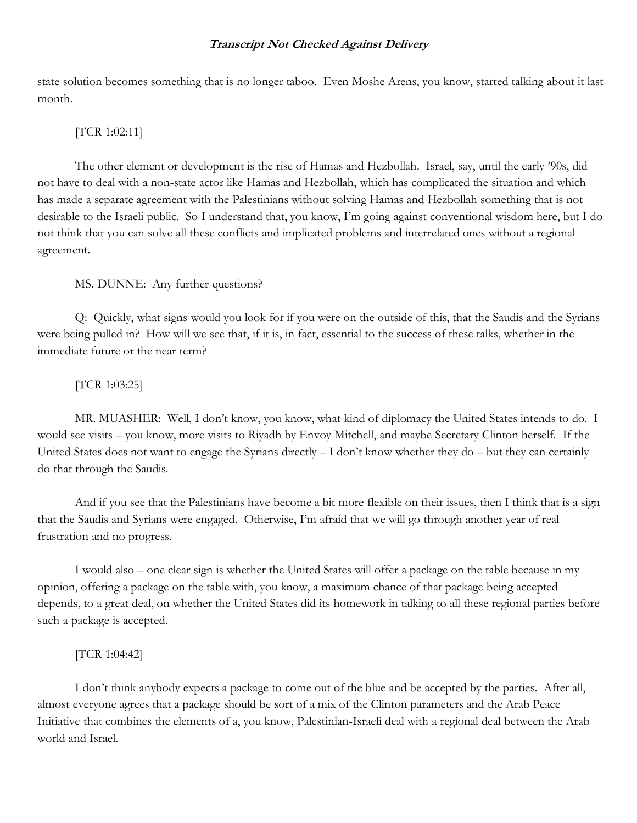state solution becomes something that is no longer taboo. Even Moshe Arens, you know, started talking about it last month.

# [TCR 1:02:11]

The other element or development is the rise of Hamas and Hezbollah. Israel, say, until the early '90s, did not have to deal with a non-state actor like Hamas and Hezbollah, which has complicated the situation and which has made a separate agreement with the Palestinians without solving Hamas and Hezbollah something that is not desirable to the Israeli public. So I understand that, you know, I'm going against conventional wisdom here, but I do not think that you can solve all these conflicts and implicated problems and interrelated ones without a regional agreement.

## MS. DUNNE: Any further questions?

Q: Quickly, what signs would you look for if you were on the outside of this, that the Saudis and the Syrians were being pulled in? How will we see that, if it is, in fact, essential to the success of these talks, whether in the immediate future or the near term?

## [TCR 1:03:25]

MR. MUASHER: Well, I don't know, you know, what kind of diplomacy the United States intends to do. I would see visits – you know, more visits to Riyadh by Envoy Mitchell, and maybe Secretary Clinton herself. If the United States does not want to engage the Syrians directly  $-I$  don't know whether they do  $-$  but they can certainly do that through the Saudis.

And if you see that the Palestinians have become a bit more flexible on their issues, then I think that is a sign that the Saudis and Syrians were engaged. Otherwise, I'm afraid that we will go through another year of real frustration and no progress.

I would also – one clear sign is whether the United States will offer a package on the table because in my opinion, offering a package on the table with, you know, a maximum chance of that package being accepted depends, to a great deal, on whether the United States did its homework in talking to all these regional parties before such a package is accepted.

#### [TCR 1:04:42]

I don't think anybody expects a package to come out of the blue and be accepted by the parties. After all, almost everyone agrees that a package should be sort of a mix of the Clinton parameters and the Arab Peace Initiative that combines the elements of a, you know, Palestinian-Israeli deal with a regional deal between the Arab world and Israel.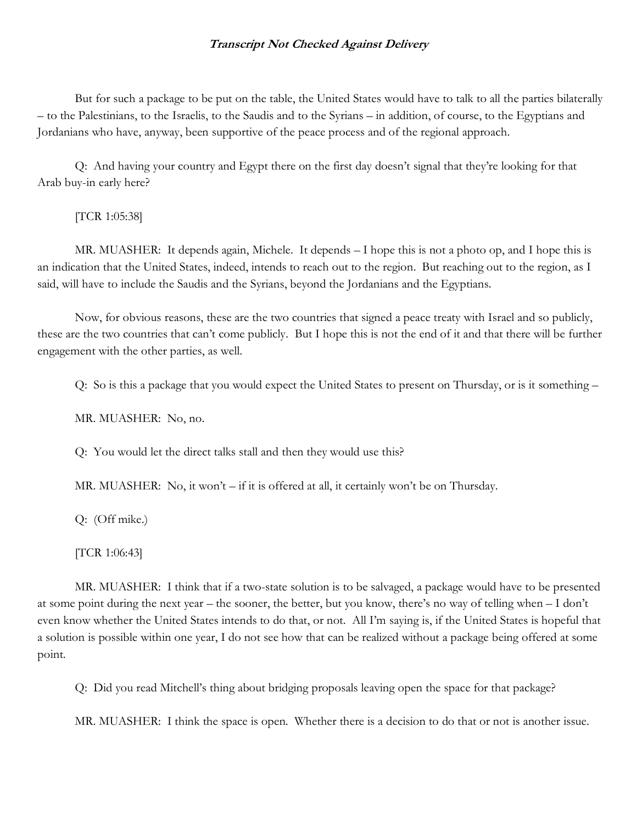But for such a package to be put on the table, the United States would have to talk to all the parties bilaterally – to the Palestinians, to the Israelis, to the Saudis and to the Syrians – in addition, of course, to the Egyptians and Jordanians who have, anyway, been supportive of the peace process and of the regional approach.

Q: And having your country and Egypt there on the first day doesn't signal that they're looking for that Arab buy-in early here?

[TCR 1:05:38]

MR. MUASHER: It depends again, Michele. It depends – I hope this is not a photo op, and I hope this is an indication that the United States, indeed, intends to reach out to the region. But reaching out to the region, as I said, will have to include the Saudis and the Syrians, beyond the Jordanians and the Egyptians.

Now, for obvious reasons, these are the two countries that signed a peace treaty with Israel and so publicly, these are the two countries that can't come publicly. But I hope this is not the end of it and that there will be further engagement with the other parties, as well.

Q: So is this a package that you would expect the United States to present on Thursday, or is it something –

MR. MUASHER: No, no.

Q: You would let the direct talks stall and then they would use this?

MR. MUASHER: No, it won't – if it is offered at all, it certainly won't be on Thursday.

Q: (Off mike.)

[TCR 1:06:43]

MR. MUASHER: I think that if a two-state solution is to be salvaged, a package would have to be presented at some point during the next year – the sooner, the better, but you know, there's no way of telling when – I don't even know whether the United States intends to do that, or not. All I'm saying is, if the United States is hopeful that a solution is possible within one year, I do not see how that can be realized without a package being offered at some point.

Q: Did you read Mitchell's thing about bridging proposals leaving open the space for that package?

MR. MUASHER: I think the space is open. Whether there is a decision to do that or not is another issue.